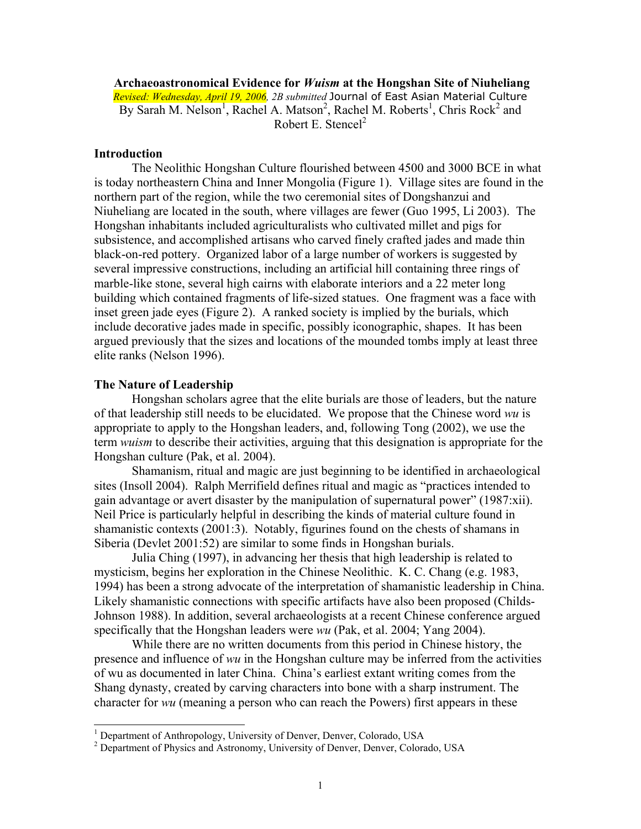**Archaeoastronomical Evidence for** *Wuism* **at the Hongshan Site of Niuheliang**  *Revised: Wednesday, April 19, 2006, 2B submitted* Journal of East Asian Material Culture By Sarah M. Nelson<sup>[1](#page-0-0)</sup>, Rachel A. Matson<sup>2</sup>, Rachel M. Roberts<sup>1</sup>, Chris Rock<sup>2</sup> and Robert E. Stencel<sup>[2](#page-0-1)</sup>

## **Introduction**

The Neolithic Hongshan Culture flourished between 4500 and 3000 BCE in what is today northeastern China and Inner Mongolia (Figure 1). Village sites are found in the northern part of the region, while the two ceremonial sites of Dongshanzui and Niuheliang are located in the south, where villages are fewer (Guo 1995, Li 2003). The Hongshan inhabitants included agriculturalists who cultivated millet and pigs for subsistence, and accomplished artisans who carved finely crafted jades and made thin black-on-red pottery. Organized labor of a large number of workers is suggested by several impressive constructions, including an artificial hill containing three rings of marble-like stone, several high cairns with elaborate interiors and a 22 meter long building which contained fragments of life-sized statues. One fragment was a face with inset green jade eyes (Figure 2). A ranked society is implied by the burials, which include decorative jades made in specific, possibly iconographic, shapes. It has been argued previously that the sizes and locations of the mounded tombs imply at least three elite ranks (Nelson 1996).

## **The Nature of Leadership**

Hongshan scholars agree that the elite burials are those of leaders, but the nature of that leadership still needs to be elucidated. We propose that the Chinese word *wu* is appropriate to apply to the Hongshan leaders, and, following Tong (2002), we use the term *wuism* to describe their activities, arguing that this designation is appropriate for the Hongshan culture (Pak, et al. 2004).

Shamanism, ritual and magic are just beginning to be identified in archaeological sites (Insoll 2004). Ralph Merrifield defines ritual and magic as "practices intended to gain advantage or avert disaster by the manipulation of supernatural power" (1987:xii). Neil Price is particularly helpful in describing the kinds of material culture found in shamanistic contexts (2001:3). Notably, figurines found on the chests of shamans in Siberia (Devlet 2001:52) are similar to some finds in Hongshan burials.

Julia Ching (1997), in advancing her thesis that high leadership is related to mysticism, begins her exploration in the Chinese Neolithic. K. C. Chang (e.g. 1983, 1994) has been a strong advocate of the interpretation of shamanistic leadership in China. Likely shamanistic connections with specific artifacts have also been proposed (Childs-Johnson 1988). In addition, several archaeologists at a recent Chinese conference argued specifically that the Hongshan leaders were *wu* (Pak, et al. 2004; Yang 2004).

While there are no written documents from this period in Chinese history, the presence and influence of *wu* in the Hongshan culture may be inferred from the activities of wu as documented in later China. China's earliest extant writing comes from the Shang dynasty, created by carving characters into bone with a sharp instrument. The character for *wu* (meaning a person who can reach the Powers) first appears in these

<span id="page-0-0"></span> $\frac{1}{1}$ <sup>1</sup> Department of Anthropology, University of Denver, Denver, Colorado, USA

<span id="page-0-1"></span><sup>&</sup>lt;sup>2</sup> Department of Physics and Astronomy, University of Denver, Denver, Colorado, USA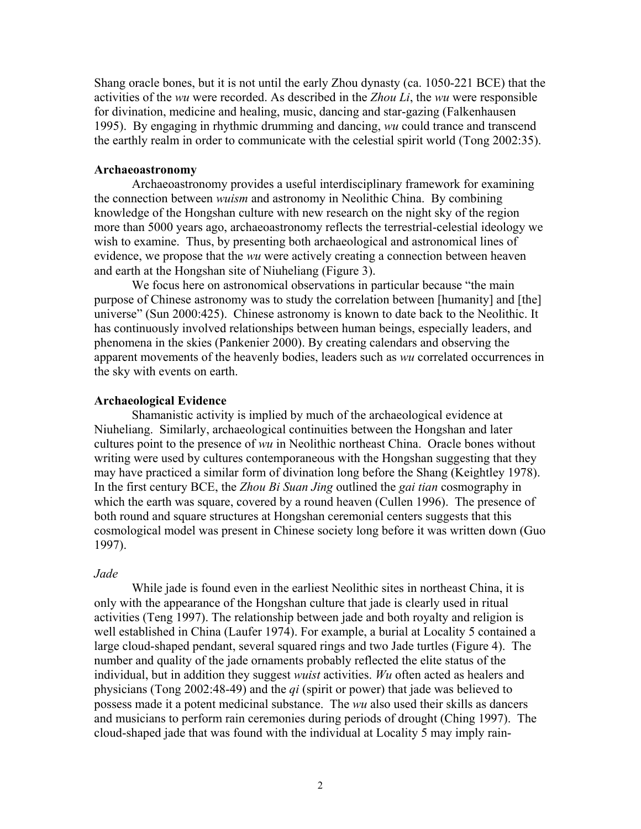Shang oracle bones, but it is not until the early Zhou dynasty (ca. 1050-221 BCE) that the activities of the *wu* were recorded. As described in the *Zhou Li*, the *wu* were responsible for divination, medicine and healing, music, dancing and star-gazing (Falkenhausen 1995). By engaging in rhythmic drumming and dancing, *wu* could trance and transcend the earthly realm in order to communicate with the celestial spirit world (Tong 2002:35).

# **Archaeoastronomy**

Archaeoastronomy provides a useful interdisciplinary framework for examining the connection between *wuism* and astronomy in Neolithic China. By combining knowledge of the Hongshan culture with new research on the night sky of the region more than 5000 years ago, archaeoastronomy reflects the terrestrial-celestial ideology we wish to examine. Thus, by presenting both archaeological and astronomical lines of evidence, we propose that the *wu* were actively creating a connection between heaven and earth at the Hongshan site of Niuheliang (Figure 3).

We focus here on astronomical observations in particular because "the main purpose of Chinese astronomy was to study the correlation between [humanity] and [the] universe" (Sun 2000:425). Chinese astronomy is known to date back to the Neolithic. It has continuously involved relationships between human beings, especially leaders, and phenomena in the skies (Pankenier 2000). By creating calendars and observing the apparent movements of the heavenly bodies, leaders such as *wu* correlated occurrences in the sky with events on earth.

## **Archaeological Evidence**

Shamanistic activity is implied by much of the archaeological evidence at Niuheliang. Similarly, archaeological continuities between the Hongshan and later cultures point to the presence of *wu* in Neolithic northeast China. Oracle bones without writing were used by cultures contemporaneous with the Hongshan suggesting that they may have practiced a similar form of divination long before the Shang (Keightley 1978). In the first century BCE, the *Zhou Bi Suan Jing* outlined the *gai tian* cosmography in which the earth was square, covered by a round heaven (Cullen 1996). The presence of both round and square structures at Hongshan ceremonial centers suggests that this cosmological model was present in Chinese society long before it was written down (Guo 1997).

## *Jade*

While jade is found even in the earliest Neolithic sites in northeast China, it is only with the appearance of the Hongshan culture that jade is clearly used in ritual activities (Teng 1997). The relationship between jade and both royalty and religion is well established in China (Laufer 1974). For example, a burial at Locality 5 contained a large cloud-shaped pendant, several squared rings and two Jade turtles (Figure 4). The number and quality of the jade ornaments probably reflected the elite status of the individual, but in addition they suggest *wuist* activities. *Wu* often acted as healers and physicians (Tong 2002:48-49) and the *qi* (spirit or power) that jade was believed to possess made it a potent medicinal substance. The *wu* also used their skills as dancers and musicians to perform rain ceremonies during periods of drought (Ching 1997). The cloud-shaped jade that was found with the individual at Locality 5 may imply rain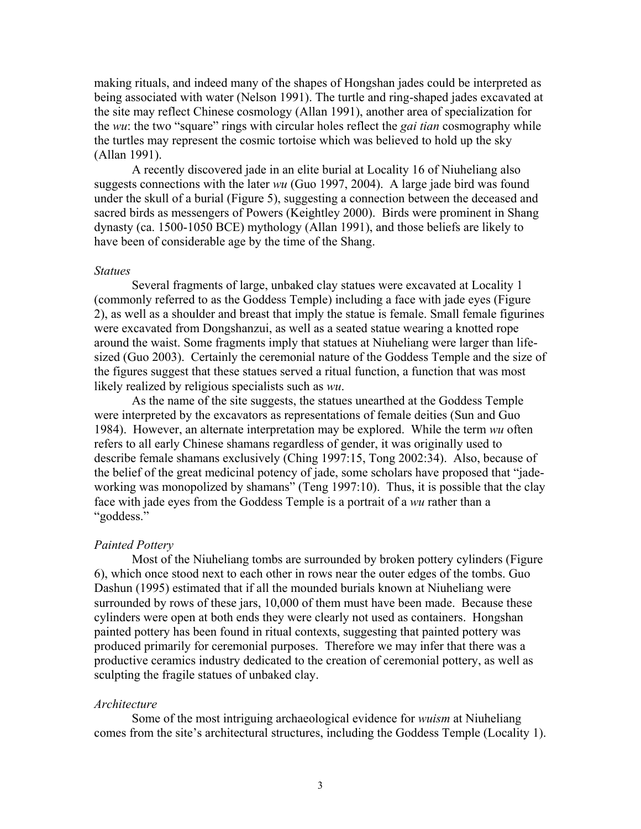making rituals, and indeed many of the shapes of Hongshan jades could be interpreted as being associated with water (Nelson 1991). The turtle and ring-shaped jades excavated at the site may reflect Chinese cosmology (Allan 1991), another area of specialization for the *wu*: the two "square" rings with circular holes reflect the *gai tian* cosmography while the turtles may represent the cosmic tortoise which was believed to hold up the sky (Allan 1991).

A recently discovered jade in an elite burial at Locality 16 of Niuheliang also suggests connections with the later *wu* (Guo 1997, 2004). A large jade bird was found under the skull of a burial (Figure 5), suggesting a connection between the deceased and sacred birds as messengers of Powers (Keightley 2000). Birds were prominent in Shang dynasty (ca. 1500-1050 BCE) mythology (Allan 1991), and those beliefs are likely to have been of considerable age by the time of the Shang.

#### *Statues*

Several fragments of large, unbaked clay statues were excavated at Locality 1 (commonly referred to as the Goddess Temple) including a face with jade eyes (Figure 2), as well as a shoulder and breast that imply the statue is female. Small female figurines were excavated from Dongshanzui, as well as a seated statue wearing a knotted rope around the waist. Some fragments imply that statues at Niuheliang were larger than lifesized (Guo 2003). Certainly the ceremonial nature of the Goddess Temple and the size of the figures suggest that these statues served a ritual function, a function that was most likely realized by religious specialists such as *wu*.

As the name of the site suggests, the statues unearthed at the Goddess Temple were interpreted by the excavators as representations of female deities (Sun and Guo 1984). However, an alternate interpretation may be explored. While the term *wu* often refers to all early Chinese shamans regardless of gender, it was originally used to describe female shamans exclusively (Ching 1997:15, Tong 2002:34). Also, because of the belief of the great medicinal potency of jade, some scholars have proposed that "jadeworking was monopolized by shamans" (Teng 1997:10). Thus, it is possible that the clay face with jade eyes from the Goddess Temple is a portrait of a *wu* rather than a "goddess."

#### *Painted Pottery*

Most of the Niuheliang tombs are surrounded by broken pottery cylinders (Figure 6), which once stood next to each other in rows near the outer edges of the tombs. Guo Dashun (1995) estimated that if all the mounded burials known at Niuheliang were surrounded by rows of these jars, 10,000 of them must have been made. Because these cylinders were open at both ends they were clearly not used as containers. Hongshan painted pottery has been found in ritual contexts, suggesting that painted pottery was produced primarily for ceremonial purposes. Therefore we may infer that there was a productive ceramics industry dedicated to the creation of ceremonial pottery, as well as sculpting the fragile statues of unbaked clay.

#### *Architecture*

Some of the most intriguing archaeological evidence for *wuism* at Niuheliang comes from the site's architectural structures, including the Goddess Temple (Locality 1).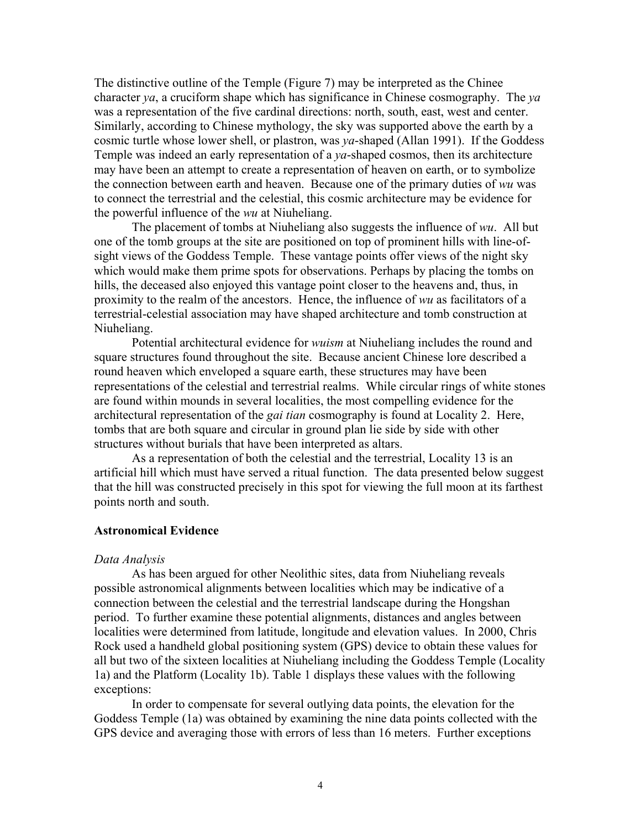The distinctive outline of the Temple (Figure 7) may be interpreted as the Chinee character *ya*, a cruciform shape which has significance in Chinese cosmography. The *ya* was a representation of the five cardinal directions: north, south, east, west and center. Similarly, according to Chinese mythology, the sky was supported above the earth by a cosmic turtle whose lower shell, or plastron, was *ya*-shaped (Allan 1991). If the Goddess Temple was indeed an early representation of a *ya*-shaped cosmos, then its architecture may have been an attempt to create a representation of heaven on earth, or to symbolize the connection between earth and heaven. Because one of the primary duties of *wu* was to connect the terrestrial and the celestial, this cosmic architecture may be evidence for the powerful influence of the *wu* at Niuheliang.

The placement of tombs at Niuheliang also suggests the influence of *wu*. All but one of the tomb groups at the site are positioned on top of prominent hills with line-ofsight views of the Goddess Temple. These vantage points offer views of the night sky which would make them prime spots for observations. Perhaps by placing the tombs on hills, the deceased also enjoyed this vantage point closer to the heavens and, thus, in proximity to the realm of the ancestors. Hence, the influence of *wu* as facilitators of a terrestrial-celestial association may have shaped architecture and tomb construction at Niuheliang.

Potential architectural evidence for *wuism* at Niuheliang includes the round and square structures found throughout the site. Because ancient Chinese lore described a round heaven which enveloped a square earth, these structures may have been representations of the celestial and terrestrial realms. While circular rings of white stones are found within mounds in several localities, the most compelling evidence for the architectural representation of the *gai tian* cosmography is found at Locality 2. Here, tombs that are both square and circular in ground plan lie side by side with other structures without burials that have been interpreted as altars.

As a representation of both the celestial and the terrestrial, Locality 13 is an artificial hill which must have served a ritual function. The data presented below suggest that the hill was constructed precisely in this spot for viewing the full moon at its farthest points north and south.

#### **Astronomical Evidence**

#### *Data Analysis*

As has been argued for other Neolithic sites, data from Niuheliang reveals possible astronomical alignments between localities which may be indicative of a connection between the celestial and the terrestrial landscape during the Hongshan period. To further examine these potential alignments, distances and angles between localities were determined from latitude, longitude and elevation values. In 2000, Chris Rock used a handheld global positioning system (GPS) device to obtain these values for all but two of the sixteen localities at Niuheliang including the Goddess Temple (Locality 1a) and the Platform (Locality 1b). Table 1 displays these values with the following exceptions:

In order to compensate for several outlying data points, the elevation for the Goddess Temple (1a) was obtained by examining the nine data points collected with the GPS device and averaging those with errors of less than 16 meters. Further exceptions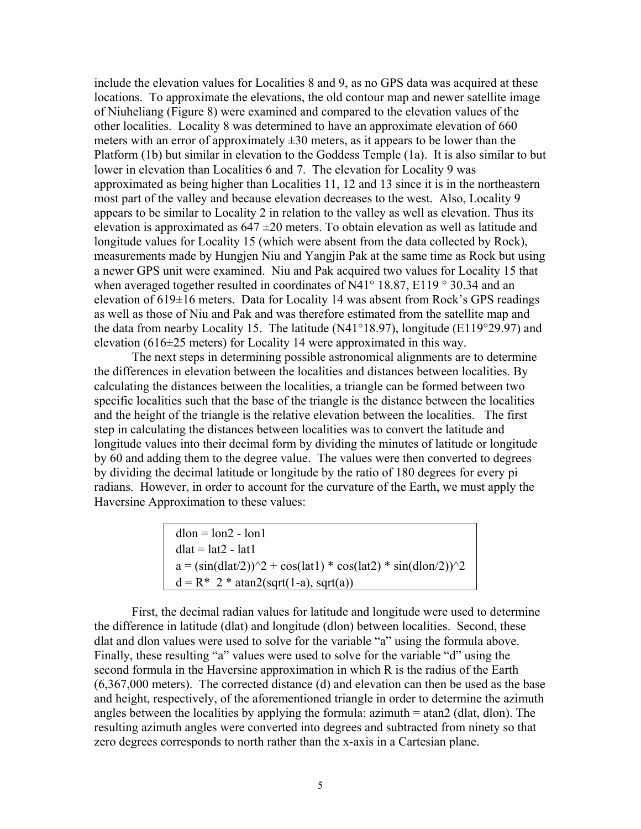include the elevation values for Localities 8 and 9, as no GPS data was acquired at these locations. To approximate the elevations, the old contour map and newer satellite image of Niuheliang (Figure 8) were examined and compared to the elevation values of the other localities. Locality 8 was determined to have an approximate elevation of 660 meters with an error of approximately  $\pm 30$  meters, as it appears to be lower than the Platform (1b) but similar in elevation to the Goddess Temple (1a). It is also similar to but lower in elevation than Localities 6 and 7. The elevation for Locality 9 was approximated as being higher than Localities 11, 12 and 13 since it is in the northeastern most part of the valley and because elevation decreases to the west. Also, Locality 9 appears to be similar to Locality 2 in relation to the valley as well as elevation. Thus its elevation is approximated as  $647 \pm 20$  meters. To obtain elevation as well as latitude and longitude values for Locality 15 (which were absent from the data collected by Rock), measurements made by Hungjen Niu and Yangjin Pak at the same time as Rock but using a newer GPS unit were examined. Niu and Pak acquired two values for Locality 15 that when averaged together resulted in coordinates of N41° 18.87, E119 ° 30.34 and an elevation of 619±16 meters. Data for Locality 14 was absent from Rock's GPS readings as well as those of Niu and Pak and was therefore estimated from the satellite map and the data from nearby Locality 15. The latitude (N41°18.97), longitude (E119°29.97) and elevation (616±25 meters) for Locality 14 were approximated in this way.

The next steps in determining possible astronomical alignments are to determine the differences in elevation between the localities and distances between localities. By calculating the distances between the localities, a triangle can be formed between two specific localities such that the base of the triangle is the distance between the localities and the height of the triangle is the relative elevation between the localities. The first step in calculating the distances between localities was to convert the latitude and longitude values into their decimal form by dividing the minutes of latitude or longitude by 60 and adding them to the degree value. The values were then converted to degrees by dividing the decimal latitude or longitude by the ratio of 180 degrees for every pi radians. However, in order to account for the curvature of the Earth, we must apply the Haversine Approximation to these values:

| $dlon = lon2 - lon1$                                                                                              |
|-------------------------------------------------------------------------------------------------------------------|
| $dlat = lat2 - lat1$                                                                                              |
| $a = (\sin(\frac{d\alpha}{2}))^2 + \cos(\frac{1}{d\alpha}) * \cos(\frac{1}{d\alpha}) * \sin(\frac{d\alpha}{2})^2$ |
| $d = R^*$ 2 * atan2(sqrt(1-a), sqrt(a))                                                                           |

First, the decimal radian values for latitude and longitude were used to determine the difference in latitude (dlat) and longitude (dlon) between localities. Second, these dlat and dlon values were used to solve for the variable "a" using the formula above. Finally, these resulting "a" values were used to solve for the variable "d" using the second formula in the Haversine approximation in which R is the radius of the Earth (6,367,000 meters). The corrected distance (d) and elevation can then be used as the base and height, respectively, of the aforementioned triangle in order to determine the azimuth angles between the localities by applying the formula:  $azimuth = atan2$  (dlat, dlon). The resulting azimuth angles were converted into degrees and subtracted from ninety so that zero degrees corresponds to north rather than the x-axis in a Cartesian plane.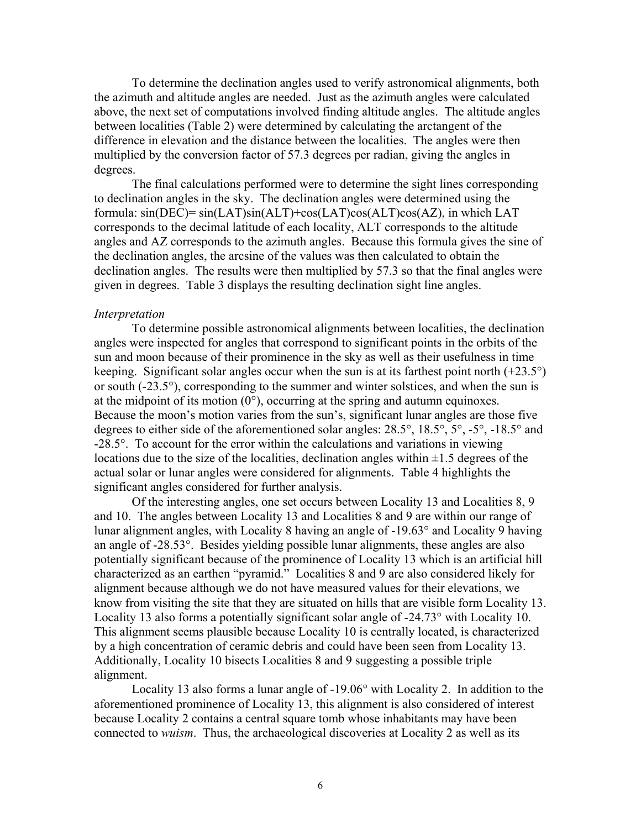To determine the declination angles used to verify astronomical alignments, both the azimuth and altitude angles are needed. Just as the azimuth angles were calculated above, the next set of computations involved finding altitude angles. The altitude angles between localities (Table 2) were determined by calculating the arctangent of the difference in elevation and the distance between the localities. The angles were then multiplied by the conversion factor of 57.3 degrees per radian, giving the angles in degrees.

The final calculations performed were to determine the sight lines corresponding to declination angles in the sky. The declination angles were determined using the formula:  $sin(DEC) = sin(LAT)sin(ALT) + cos(LAT)cos(ALT)cos(AZ)$ , in which LAT corresponds to the decimal latitude of each locality, ALT corresponds to the altitude angles and AZ corresponds to the azimuth angles. Because this formula gives the sine of the declination angles, the arcsine of the values was then calculated to obtain the declination angles. The results were then multiplied by 57.3 so that the final angles were given in degrees. Table 3 displays the resulting declination sight line angles.

#### *Interpretation*

To determine possible astronomical alignments between localities, the declination angles were inspected for angles that correspond to significant points in the orbits of the sun and moon because of their prominence in the sky as well as their usefulness in time keeping. Significant solar angles occur when the sun is at its farthest point north  $(+23.5^{\circ})$ or south (-23.5°), corresponding to the summer and winter solstices, and when the sun is at the midpoint of its motion  $(0^{\circ})$ , occurring at the spring and autumn equinoxes. Because the moon's motion varies from the sun's, significant lunar angles are those five degrees to either side of the aforementioned solar angles: 28.5°, 18.5°, 5°, -5°, -18.5° and -28.5°. To account for the error within the calculations and variations in viewing locations due to the size of the localities, declination angles within  $\pm 1.5$  degrees of the actual solar or lunar angles were considered for alignments. Table 4 highlights the significant angles considered for further analysis.

Of the interesting angles, one set occurs between Locality 13 and Localities 8, 9 and 10. The angles between Locality 13 and Localities 8 and 9 are within our range of lunar alignment angles, with Locality 8 having an angle of -19.63° and Locality 9 having an angle of -28.53°. Besides yielding possible lunar alignments, these angles are also potentially significant because of the prominence of Locality 13 which is an artificial hill characterized as an earthen "pyramid." Localities 8 and 9 are also considered likely for alignment because although we do not have measured values for their elevations, we know from visiting the site that they are situated on hills that are visible form Locality 13. Locality 13 also forms a potentially significant solar angle of -24.73° with Locality 10. This alignment seems plausible because Locality 10 is centrally located, is characterized by a high concentration of ceramic debris and could have been seen from Locality 13. Additionally, Locality 10 bisects Localities 8 and 9 suggesting a possible triple alignment.

Locality 13 also forms a lunar angle of -19.06° with Locality 2. In addition to the aforementioned prominence of Locality 13, this alignment is also considered of interest because Locality 2 contains a central square tomb whose inhabitants may have been connected to *wuism*. Thus, the archaeological discoveries at Locality 2 as well as its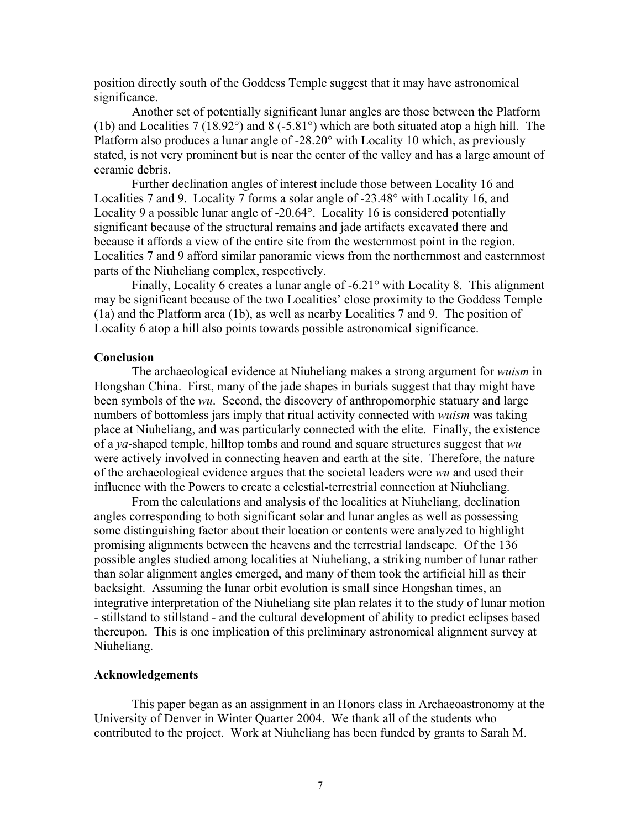position directly south of the Goddess Temple suggest that it may have astronomical significance.

Another set of potentially significant lunar angles are those between the Platform (1b) and Localities 7 (18.92°) and 8 (-5.81°) which are both situated atop a high hill. The Platform also produces a lunar angle of -28.20° with Locality 10 which, as previously stated, is not very prominent but is near the center of the valley and has a large amount of ceramic debris.

Further declination angles of interest include those between Locality 16 and Localities 7 and 9. Locality 7 forms a solar angle of -23.48° with Locality 16, and Locality 9 a possible lunar angle of -20.64°. Locality 16 is considered potentially significant because of the structural remains and jade artifacts excavated there and because it affords a view of the entire site from the westernmost point in the region. Localities 7 and 9 afford similar panoramic views from the northernmost and easternmost parts of the Niuheliang complex, respectively.

Finally, Locality 6 creates a lunar angle of -6.21° with Locality 8. This alignment may be significant because of the two Localities' close proximity to the Goddess Temple (1a) and the Platform area (1b), as well as nearby Localities 7 and 9. The position of Locality 6 atop a hill also points towards possible astronomical significance.

## **Conclusion**

The archaeological evidence at Niuheliang makes a strong argument for *wuism* in Hongshan China. First, many of the jade shapes in burials suggest that thay might have been symbols of the *wu*. Second, the discovery of anthropomorphic statuary and large numbers of bottomless jars imply that ritual activity connected with *wuism* was taking place at Niuheliang, and was particularly connected with the elite. Finally, the existence of a *ya*-shaped temple, hilltop tombs and round and square structures suggest that *wu* were actively involved in connecting heaven and earth at the site. Therefore, the nature of the archaeological evidence argues that the societal leaders were *wu* and used their influence with the Powers to create a celestial-terrestrial connection at Niuheliang.

From the calculations and analysis of the localities at Niuheliang, declination angles corresponding to both significant solar and lunar angles as well as possessing some distinguishing factor about their location or contents were analyzed to highlight promising alignments between the heavens and the terrestrial landscape. Of the 136 possible angles studied among localities at Niuheliang, a striking number of lunar rather than solar alignment angles emerged, and many of them took the artificial hill as their backsight. Assuming the lunar orbit evolution is small since Hongshan times, an integrative interpretation of the Niuheliang site plan relates it to the study of lunar motion - stillstand to stillstand - and the cultural development of ability to predict eclipses based thereupon. This is one implication of this preliminary astronomical alignment survey at Niuheliang.

## **Acknowledgements**

This paper began as an assignment in an Honors class in Archaeoastronomy at the University of Denver in Winter Quarter 2004. We thank all of the students who contributed to the project. Work at Niuheliang has been funded by grants to Sarah M.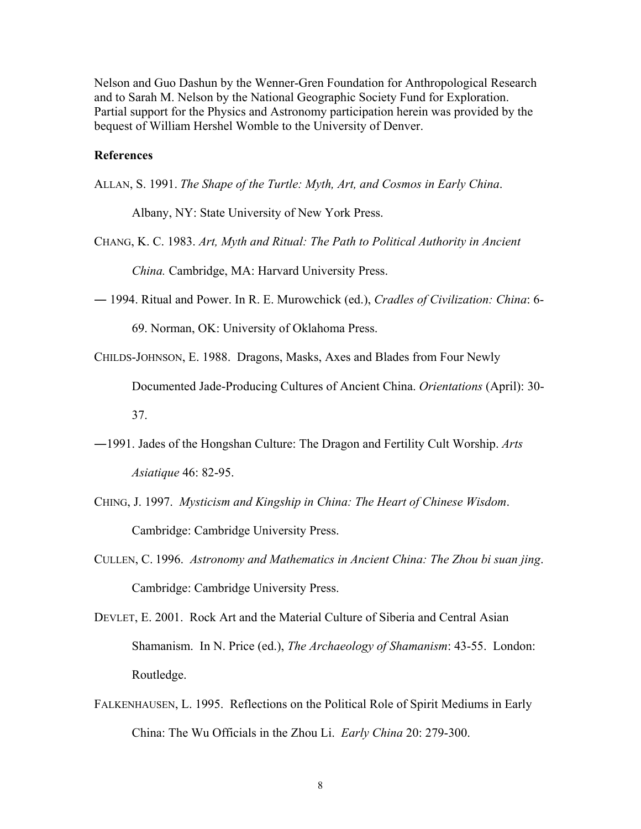Nelson and Guo Dashun by the Wenner-Gren Foundation for Anthropological Research and to Sarah M. Nelson by the National Geographic Society Fund for Exploration. Partial support for the Physics and Astronomy participation herein was provided by the bequest of William Hershel Womble to the University of Denver.

## **References**

ALLAN, S. 1991. *The Shape of the Turtle: Myth, Art, and Cosmos in Early China*.

Albany, NY: State University of New York Press.

CHANG, K. C. 1983. *Art, Myth and Ritual: The Path to Political Authority in Ancient* 

*China.* Cambridge, MA: Harvard University Press.

― 1994. Ritual and Power. In R. E. Murowchick (ed.), *Cradles of Civilization: China*: 6-

69. Norman, OK: University of Oklahoma Press.

- CHILDS-JOHNSON, E. 1988. Dragons, Masks, Axes and Blades from Four Newly Documented Jade-Producing Cultures of Ancient China. *Orientations* (April): 30- 37.
- ―1991. Jades of the Hongshan Culture: The Dragon and Fertility Cult Worship. *Arts Asiatique* 46: 82-95.
- CHING, J. 1997. *Mysticism and Kingship in China: The Heart of Chinese Wisdom*. Cambridge: Cambridge University Press.
- CULLEN, C. 1996. *Astronomy and Mathematics in Ancient China: The Zhou bi suan jing*. Cambridge: Cambridge University Press.
- DEVLET, E. 2001. Rock Art and the Material Culture of Siberia and Central Asian Shamanism. In N. Price (ed.), *The Archaeology of Shamanism*: 43-55. London: Routledge.
- FALKENHAUSEN, L. 1995. Reflections on the Political Role of Spirit Mediums in Early China: The Wu Officials in the Zhou Li. *Early China* 20: 279-300.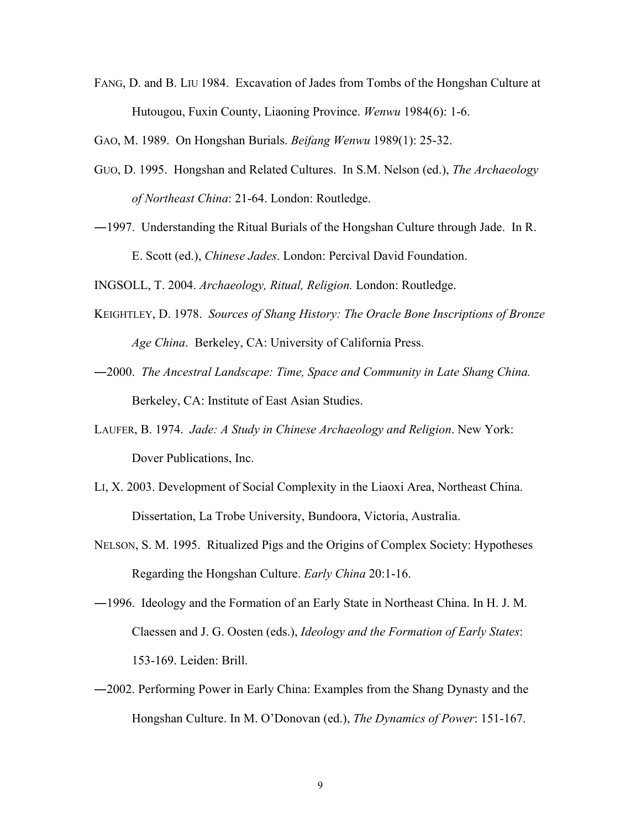FANG, D. and B. LIU 1984. Excavation of Jades from Tombs of the Hongshan Culture at Hutougou, Fuxin County, Liaoning Province. *Wenwu* 1984(6): 1-6.

GAO, M. 1989. On Hongshan Burials. *Beifang Wenwu* 1989(1): 25-32.

- GUO, D. 1995. Hongshan and Related Cultures. In S.M. Nelson (ed.), *The Archaeology of Northeast China*: 21-64. London: Routledge.
- ―1997. Understanding the Ritual Burials of the Hongshan Culture through Jade. In R.

E. Scott (ed.), *Chinese Jades*. London: Percival David Foundation.

INGSOLL, T. 2004. *Archaeology, Ritual, Religion.* London: Routledge.

- KEIGHTLEY, D. 1978. *Sources of Shang History: The Oracle Bone Inscriptions of Bronze Age China*. Berkeley, CA: University of California Press.
- ―2000. *The Ancestral Landscape: Time, Space and Community in Late Shang China.*  Berkeley, CA: Institute of East Asian Studies.
- LAUFER, B. 1974. *Jade: A Study in Chinese Archaeology and Religion*. New York: Dover Publications, Inc.
- LI, X. 2003. Development of Social Complexity in the Liaoxi Area, Northeast China. Dissertation, La Trobe University, Bundoora, Victoria, Australia.
- NELSON, S. M. 1995. Ritualized Pigs and the Origins of Complex Society: Hypotheses Regarding the Hongshan Culture. *Early China* 20:1-16.
- ―1996. Ideology and the Formation of an Early State in Northeast China. In H. J. M. Claessen and J. G. Oosten (eds.), *Ideology and the Formation of Early States*: 153-169. Leiden: Brill.
- ―2002. Performing Power in Early China: Examples from the Shang Dynasty and the Hongshan Culture. In M. O'Donovan (ed.), *The Dynamics of Power*: 151-167.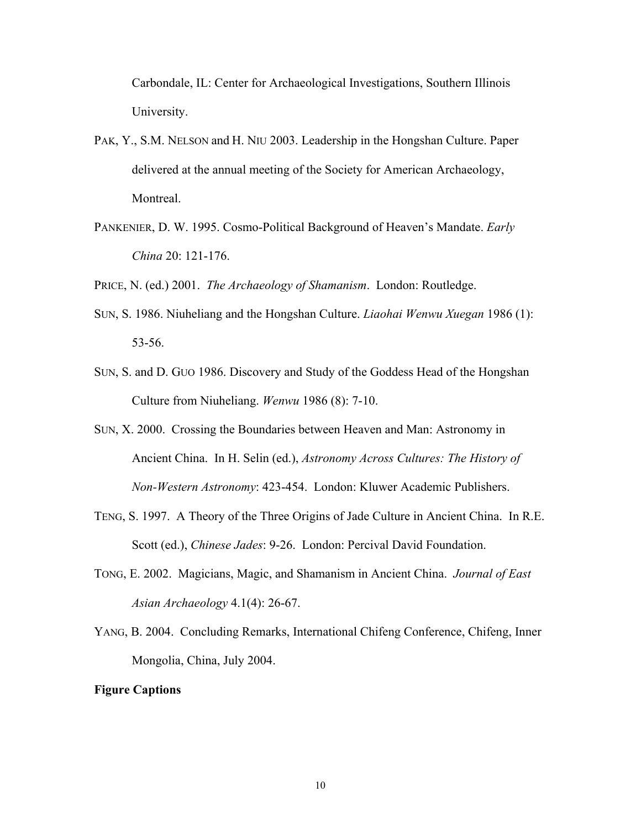Carbondale, IL: Center for Archaeological Investigations, Southern Illinois University.

- PAK, Y., S.M. NELSON and H. NIU 2003. Leadership in the Hongshan Culture. Paper delivered at the annual meeting of the Society for American Archaeology, Montreal.
- PANKENIER, D. W. 1995. Cosmo-Political Background of Heaven's Mandate. *Early China* 20: 121-176.

PRICE, N. (ed.) 2001. *The Archaeology of Shamanism*. London: Routledge.

- SUN, S. 1986. Niuheliang and the Hongshan Culture. *Liaohai Wenwu Xuegan* 1986 (1): 53-56.
- SUN, S. and D. GUO 1986. Discovery and Study of the Goddess Head of the Hongshan Culture from Niuheliang. *Wenwu* 1986 (8): 7-10.
- SUN, X. 2000. Crossing the Boundaries between Heaven and Man: Astronomy in Ancient China. In H. Selin (ed.), *Astronomy Across Cultures: The History of Non-Western Astronomy*: 423-454. London: Kluwer Academic Publishers.
- TENG, S. 1997. A Theory of the Three Origins of Jade Culture in Ancient China. In R.E. Scott (ed.), *Chinese Jades*: 9-26. London: Percival David Foundation.
- TONG, E. 2002. Magicians, Magic, and Shamanism in Ancient China. *Journal of East Asian Archaeology* 4.1(4): 26-67.
- YANG, B. 2004. Concluding Remarks, International Chifeng Conference, Chifeng, Inner Mongolia, China, July 2004.

# **Figure Captions**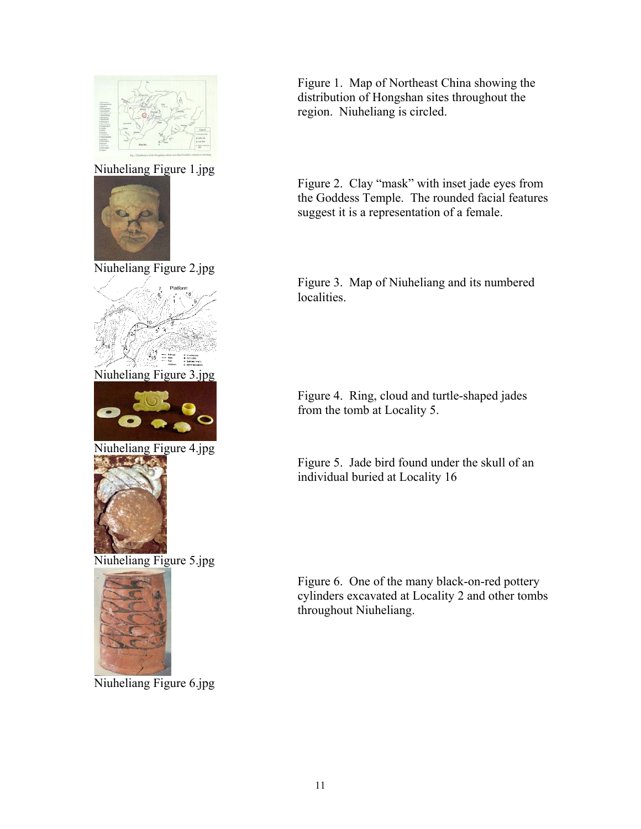

Niuheliang Figure 1.jpg



Niuheliang Figure 2.jpg



Niuheliang Figure 3.jpg



Niuheliang Figure 4.jpg



Niuheliang Figure 5.jpg



Niuheliang Figure 6.jpg

Figure 1. Map of Northeast China showing the distribution of Hongshan sites throughout the region. Niuheliang is circled.

Figure 2. Clay "mask" with inset jade eyes from the Goddess Temple. The rounded facial features suggest it is a representation of a female.

Figure 3. Map of Niuheliang and its numbered localities.

Figure 4. Ring, cloud and turtle-shaped jades from the tomb at Locality 5.

Figure 5. Jade bird found under the skull of an individual buried at Locality 16

Figure 6. One of the many black-on-red pottery cylinders excavated at Locality 2 and other tombs throughout Niuheliang.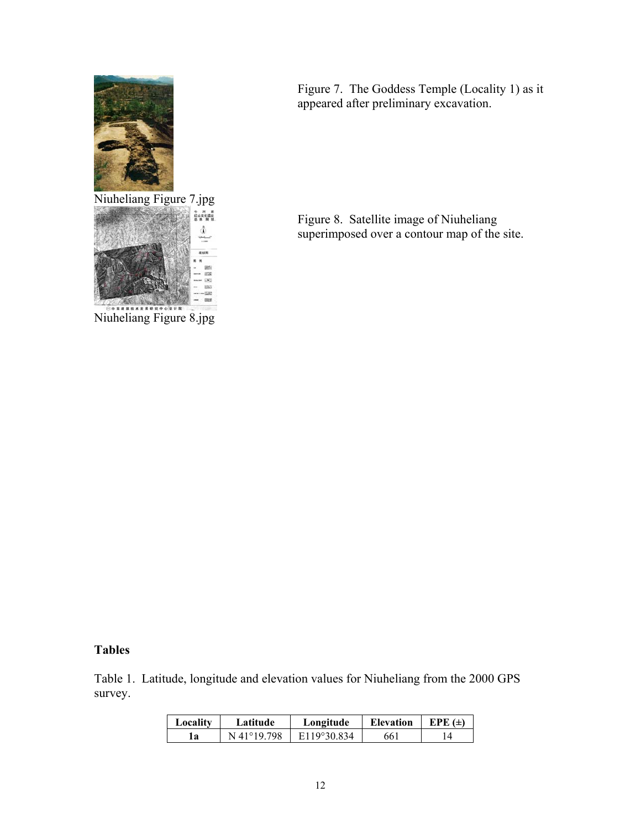



Niuheliang Figure 8.jpg

Figure 7. The Goddess Temple (Locality 1) as it appeared after preliminary excavation.

Figure 8. Satellite image of Niuheliang superimposed over a contour map of the site.

# **Tables**

Table 1. Latitude, longitude and elevation values for Niuheliang from the 2000 GPS survey.

| Locality | Latitude    | Longitude   | <b>Elevation</b> | $EPE(\pm)$ |
|----------|-------------|-------------|------------------|------------|
| l a      | N 41°19 798 | E119°30.834 | 661              |            |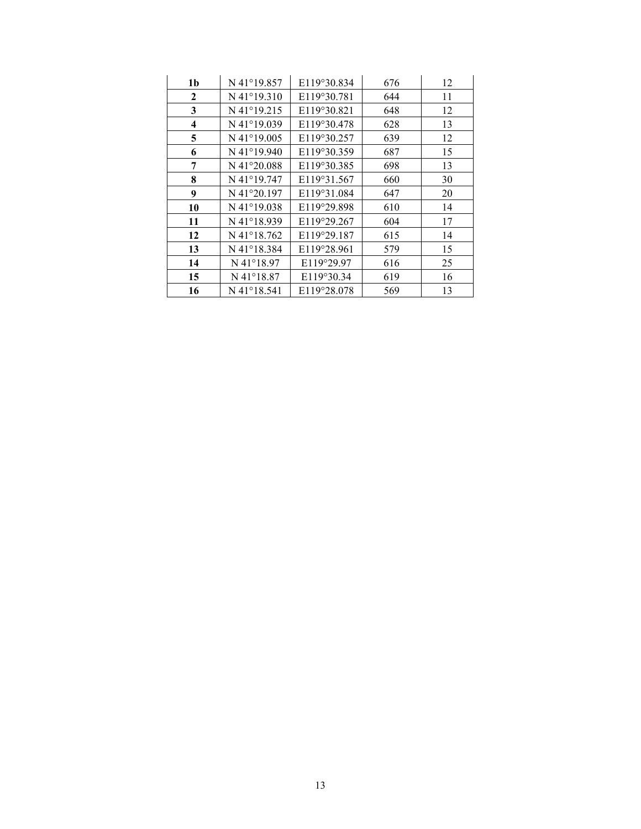| 1 <sub>b</sub> | N 41°19.857 | E119°30.834 | 676 | 12 |
|----------------|-------------|-------------|-----|----|
| $\mathbf{2}$   | N 41°19.310 | E119°30.781 | 644 | 11 |
| 3              | N 41°19.215 | E119°30.821 | 648 | 12 |
| 4              | N 41°19.039 | E119°30.478 | 628 | 13 |
| 5              | N 41°19.005 | E119°30.257 | 639 | 12 |
| 6              | N 41°19.940 | E119°30.359 | 687 | 15 |
| 7              | N 41°20.088 | E119°30.385 | 698 | 13 |
| 8              | N 41°19.747 | E119°31.567 | 660 | 30 |
| 9              | N 41°20.197 | E119°31.084 | 647 | 20 |
| 10             | N 41°19.038 | E119°29.898 | 610 | 14 |
| 11             | N 41°18.939 | E119°29.267 | 604 | 17 |
| 12             | N 41°18.762 | E119°29.187 | 615 | 14 |
| 13             | N 41°18.384 | E119°28.961 | 579 | 15 |
| 14             | N 41°18.97  | E119°29.97  | 616 | 25 |
| 15             | N 41°18.87  | E119°30.34  | 619 | 16 |
| 16             | N 41°18.541 | E119°28.078 | 569 | 13 |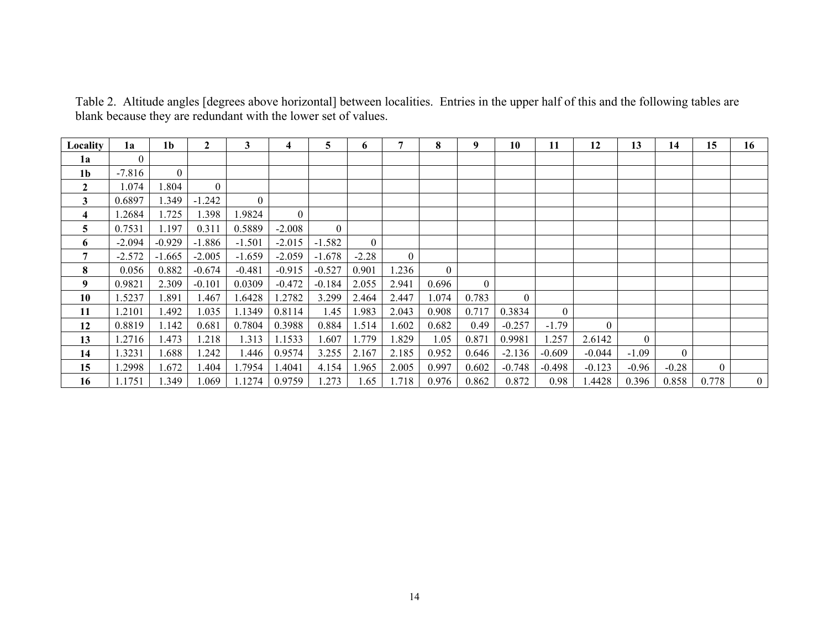| Locality       | 1a           | 1 <sub>b</sub> | $\mathbf{2}$ | 3        | 4                | 5            | 6        | 7        | 8              | 9              | 10       | 11       | 12       | 13       | 14       | 15             | 16           |
|----------------|--------------|----------------|--------------|----------|------------------|--------------|----------|----------|----------------|----------------|----------|----------|----------|----------|----------|----------------|--------------|
| 1a             | $\mathbf{0}$ |                |              |          |                  |              |          |          |                |                |          |          |          |          |          |                |              |
| 1 <sub>b</sub> | $-7.816$     | $\overline{0}$ |              |          |                  |              |          |          |                |                |          |          |          |          |          |                |              |
| 2              | 1.074        | .804           | $\theta$     |          |                  |              |          |          |                |                |          |          |          |          |          |                |              |
| 3              | 0.6897       | .349           | $-1.242$     | $\theta$ |                  |              |          |          |                |                |          |          |          |          |          |                |              |
| 4              | .2684        | .725           | .398         | .9824    | $\boldsymbol{0}$ |              |          |          |                |                |          |          |          |          |          |                |              |
| 5              | 0.7531       | 1.197          | 0.311        | 0.5889   | $-2.008$         | $\mathbf{0}$ |          |          |                |                |          |          |          |          |          |                |              |
| 6              | $-2.094$     | $-0.929$       | $-1.886$     | $-1.501$ | $-2.015$         | $-1.582$     | $\theta$ |          |                |                |          |          |          |          |          |                |              |
| 7              | $-2.572$     | $-1.665$       | $-2.005$     | $-1.659$ | $-2.059$         | $-1.678$     | $-2.28$  | $\theta$ |                |                |          |          |          |          |          |                |              |
| 8              | 0.056        | 0.882          | $-0.674$     | $-0.481$ | $-0.915$         | $-0.527$     | 0.901    | .236     | $\overline{0}$ |                |          |          |          |          |          |                |              |
| 9              | 0.9821       | 2.309          | $-0.101$     | 0.0309   | $-0.472$         | $-0.184$     | 2.055    | 2.941    | 0.696          | $\overline{0}$ |          |          |          |          |          |                |              |
| 10             | 1.5237       | .891           | .467         | .6428    | .2782            | 3.299        | 2.464    | 2.447    | 1.074          | 0.783          | $\theta$ |          |          |          |          |                |              |
| 11             | 1.2101       | .492           | .035         | .1349    | 0.8114           | 1.45         | 1.983    | 2.043    | 0.908          | 0.717          | 0.3834   | $\theta$ |          |          |          |                |              |
| 12             | 0.8819       | 1.142          | 0.681        | 0.7804   | 0.3988           | 0.884        | 1.514    | .602     | 0.682          | 0.49           | $-0.257$ | $-1.79$  | $\theta$ |          |          |                |              |
| 13             | 1.2716       | .473           | .218         | .313     | 1.1533           | .607         | 1.779    | .829     | l.05           | 0.871          | 0.9981   | .257     | 2.6142   | $\theta$ |          |                |              |
| 14             | 1.3231       | .688           | .242         | l.446    | 0.9574           | 3.255        | 2.167    | 2.185    | 0.952          | 0.646          | $-2.136$ | $-0.609$ | $-0.044$ | $-1.09$  | $\theta$ |                |              |
| 15             | .2998        | .672           | .404         | .7954    | 1.4041           | 4.154        | 1.965    | 2.005    | 0.997          | 0.602          | $-0.748$ | $-0.498$ | $-0.123$ | $-0.96$  | $-0.28$  | $\overline{0}$ |              |
| 16             | 1.1751       | .349           | .069         | .1274    | 0.9759           | .273         | 1.65     | 1.718    | 0.976          | 0.862          | 0.872    | 0.98     | .4428    | 0.396    | 0.858    | 0.778          | $\mathbf{0}$ |

Table 2. Altitude angles [degrees above horizontal] between localities. Entries in the upper half of this and the following tables are blank because they are redundant with the lower set of values.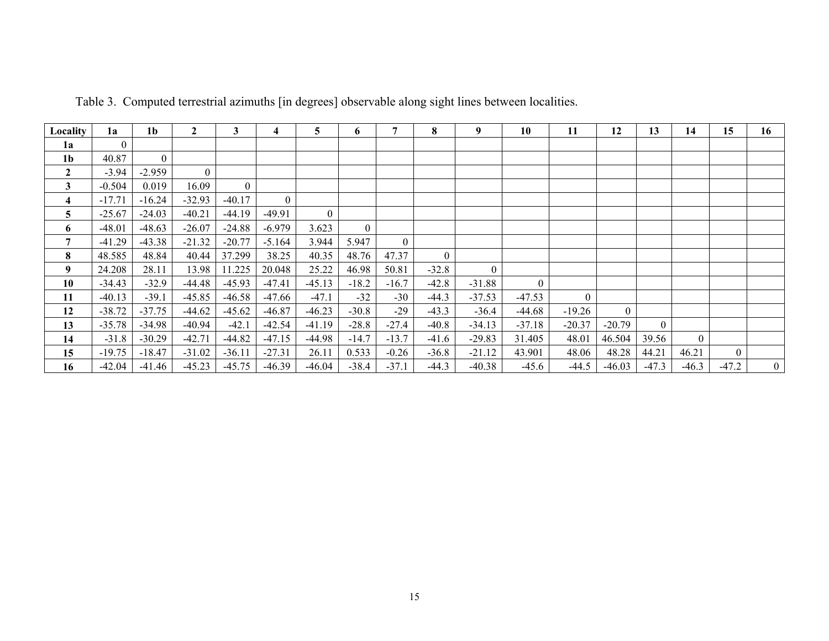| Locality                | 1a           | 1 <sub>b</sub> | $\mathbf{2}$   | 3              | 4        | 5        | 6              |                | 8              | 9        | 10             | 11       | 12       | 13             | 14             | 15             | 16             |
|-------------------------|--------------|----------------|----------------|----------------|----------|----------|----------------|----------------|----------------|----------|----------------|----------|----------|----------------|----------------|----------------|----------------|
| 1a                      | $\mathbf{0}$ |                |                |                |          |          |                |                |                |          |                |          |          |                |                |                |                |
| 1 <sub>b</sub>          | 40.87        | $\overline{0}$ |                |                |          |          |                |                |                |          |                |          |          |                |                |                |                |
| $\boldsymbol{2}$        | $-3.94$      | $-2.959$       | $\overline{0}$ |                |          |          |                |                |                |          |                |          |          |                |                |                |                |
| $\mathbf{3}$            | $-0.504$     | 0.019          | 16.09          | $\overline{0}$ |          |          |                |                |                |          |                |          |          |                |                |                |                |
| $\overline{\mathbf{4}}$ | $-17.71$     | $-16.24$       | $-32.93$       | $-40.17$       | $\theta$ |          |                |                |                |          |                |          |          |                |                |                |                |
| $5\overline{)}$         | $-25.67$     | $-24.03$       | $-40.21$       | $-44.19$       | $-49.91$ | $\theta$ |                |                |                |          |                |          |          |                |                |                |                |
| 6                       | $-48.01$     | $-48.63$       | $-26.07$       | $-24.88$       | $-6.979$ | 3.623    | $\overline{0}$ |                |                |          |                |          |          |                |                |                |                |
| 7                       | $-41.29$     | $-43.38$       | $-21.32$       | $-20.77$       | $-5.164$ | 3.944    | 5.947          | $\overline{0}$ |                |          |                |          |          |                |                |                |                |
| 8                       | 48.585       | 48.84          | 40.44          | 37.299         | 38.25    | 40.35    | 48.76          | 47.37          | $\overline{0}$ |          |                |          |          |                |                |                |                |
| 9                       | 24.208       | 28.11          | 13.98          | 11.225         | 20.048   | 25.22    | 46.98          | 50.81          | $-32.8$        | $\theta$ |                |          |          |                |                |                |                |
| 10                      | $-34.43$     | $-32.9$        | $-44.48$       | $-45.93$       | $-47.41$ | $-45.13$ | $-18.2$        | $-16.7$        | $-42.8$        | $-31.88$ | $\overline{0}$ |          |          |                |                |                |                |
| 11                      | $-40.13$     | $-39.1$        | $-45.85$       | $-46.58$       | $-47.66$ | $-47.1$  | $-32$          | $-30$          | $-44.3$        | $-37.53$ | $-47.53$       | $\theta$ |          |                |                |                |                |
| 12                      | $-38.72$     | $-37.75$       | $-44.62$       | $-45.62$       | $-46.87$ | $-46.23$ | $-30.8$        | $-29$          | $-43.3$        | $-36.4$  | $-44.68$       | $-19.26$ | $\theta$ |                |                |                |                |
| 13                      | $-35.78$     | $-34.98$       | $-40.94$       | $-42.1$        | $-42.54$ | $-41.19$ | $-28.8$        | $-27.4$        | $-40.8$        | $-34.13$ | $-37.18$       | $-20.37$ | $-20.79$ | $\overline{0}$ |                |                |                |
| 14                      | $-31.8$      | $-30.29$       | $-42.71$       | $-44.82$       | $-47.15$ | $-44.98$ | $-14.7$        | $-13.7$        | $-41.6$        | $-29.83$ | 31.405         | 48.01    | 46.504   | 39.56          | $\overline{0}$ |                |                |
| 15                      | $-19.75$     | $-18.47$       | $-31.02$       | $-36.11$       | $-27.31$ | 26.11    | 0.533          | $-0.26$        | $-36.8$        | $-21.12$ | 43.901         | 48.06    | 48.28    | 44.21          | 46.21          | $\overline{0}$ |                |
| 16                      | $-42.04$     | -41.46         | $-45.23$       | $-45.75$       | $-46.39$ | $-46.04$ | $-38.4$        | $-37.1$        | $-44.3$        | $-40.38$ | $-45.6$        | $-44.5$  | $-46.03$ | $-47.3$        | $-46.3$        | $-47.2$        | $\overline{0}$ |

Table 3. Computed terrestrial azimuths [in degrees] observable along sight lines between localities.